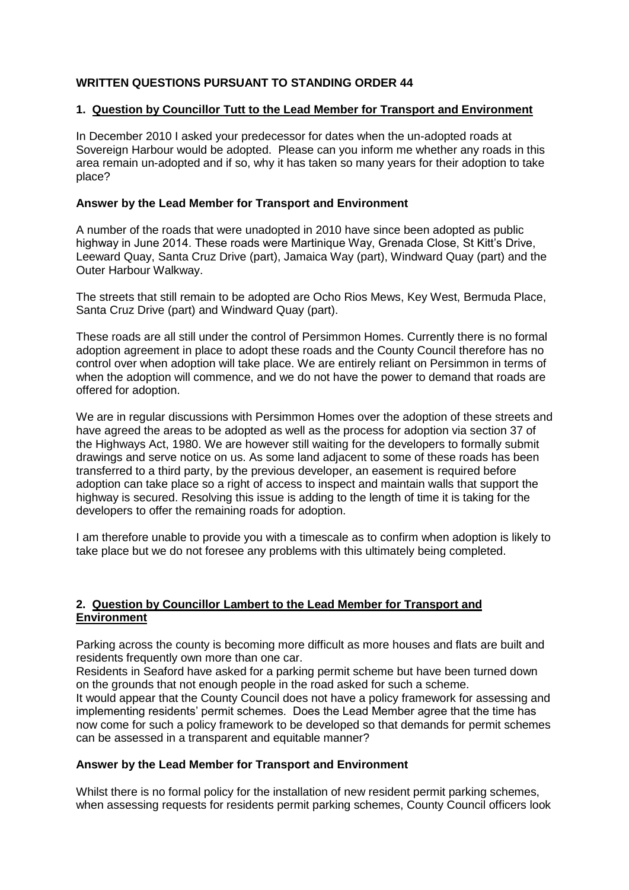# **WRITTEN QUESTIONS PURSUANT TO STANDING ORDER 44**

## **1. Question by Councillor Tutt to the Lead Member for Transport and Environment**

In December 2010 I asked your predecessor for dates when the un-adopted roads at Sovereign Harbour would be adopted. Please can you inform me whether any roads in this area remain un-adopted and if so, why it has taken so many years for their adoption to take place?

## **Answer by the Lead Member for Transport and Environment**

A number of the roads that were unadopted in 2010 have since been adopted as public highway in June 2014. These roads were Martinique Way, Grenada Close, St Kitt's Drive, Leeward Quay, Santa Cruz Drive (part), Jamaica Way (part), Windward Quay (part) and the Outer Harbour Walkway.

The streets that still remain to be adopted are Ocho Rios Mews, Key West, Bermuda Place, Santa Cruz Drive (part) and Windward Quay (part).

These roads are all still under the control of Persimmon Homes. Currently there is no formal adoption agreement in place to adopt these roads and the County Council therefore has no control over when adoption will take place. We are entirely reliant on Persimmon in terms of when the adoption will commence, and we do not have the power to demand that roads are offered for adoption.

We are in regular discussions with Persimmon Homes over the adoption of these streets and have agreed the areas to be adopted as well as the process for adoption via section 37 of the Highways Act, 1980. We are however still waiting for the developers to formally submit drawings and serve notice on us. As some land adjacent to some of these roads has been transferred to a third party, by the previous developer, an easement is required before adoption can take place so a right of access to inspect and maintain walls that support the highway is secured. Resolving this issue is adding to the length of time it is taking for the developers to offer the remaining roads for adoption.

I am therefore unable to provide you with a timescale as to confirm when adoption is likely to take place but we do not foresee any problems with this ultimately being completed.

## **2. Question by Councillor Lambert to the Lead Member for Transport and Environment**

Parking across the county is becoming more difficult as more houses and flats are built and residents frequently own more than one car.

Residents in Seaford have asked for a parking permit scheme but have been turned down on the grounds that not enough people in the road asked for such a scheme. It would appear that the County Council does not have a policy framework for assessing and implementing residents' permit schemes. Does the Lead Member agree that the time has now come for such a policy framework to be developed so that demands for permit schemes can be assessed in a transparent and equitable manner?

## **Answer by the Lead Member for Transport and Environment**

Whilst there is no formal policy for the installation of new resident permit parking schemes, when assessing requests for residents permit parking schemes, County Council officers look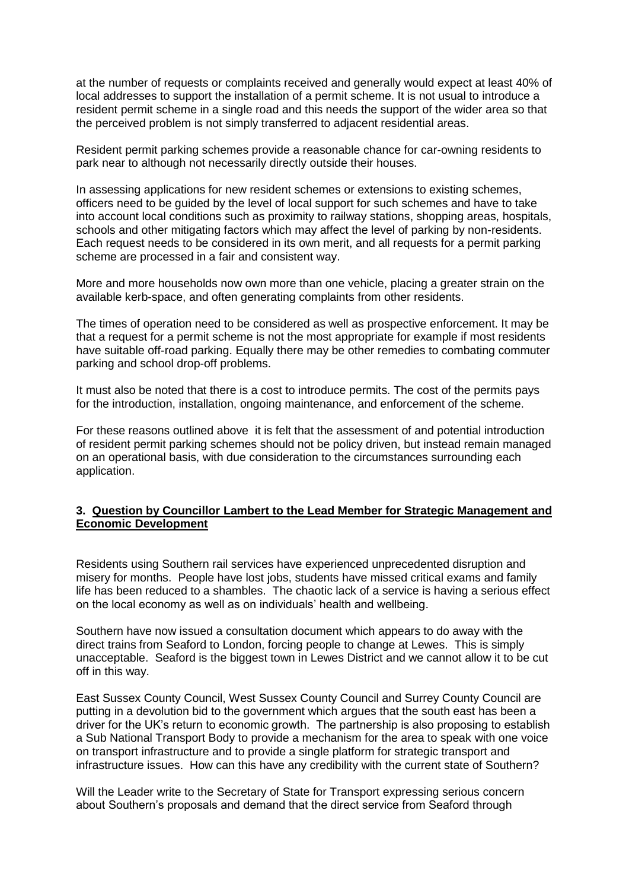at the number of requests or complaints received and generally would expect at least 40% of local addresses to support the installation of a permit scheme. It is not usual to introduce a resident permit scheme in a single road and this needs the support of the wider area so that the perceived problem is not simply transferred to adjacent residential areas.

Resident permit parking schemes provide a reasonable chance for car-owning residents to park near to although not necessarily directly outside their houses.

In assessing applications for new resident schemes or extensions to existing schemes, officers need to be guided by the level of local support for such schemes and have to take into account local conditions such as proximity to railway stations, shopping areas, hospitals, schools and other mitigating factors which may affect the level of parking by non-residents. Each request needs to be considered in its own merit, and all requests for a permit parking scheme are processed in a fair and consistent way.

More and more households now own more than one vehicle, placing a greater strain on the available kerb-space, and often generating complaints from other residents.

The times of operation need to be considered as well as prospective enforcement. It may be that a request for a permit scheme is not the most appropriate for example if most residents have suitable off-road parking. Equally there may be other remedies to combating commuter parking and school drop-off problems.

It must also be noted that there is a cost to introduce permits. The cost of the permits pays for the introduction, installation, ongoing maintenance, and enforcement of the scheme.

For these reasons outlined above it is felt that the assessment of and potential introduction of resident permit parking schemes should not be policy driven, but instead remain managed on an operational basis, with due consideration to the circumstances surrounding each application.

## **3. Question by Councillor Lambert to the Lead Member for Strategic Management and Economic Development**

Residents using Southern rail services have experienced unprecedented disruption and misery for months. People have lost jobs, students have missed critical exams and family life has been reduced to a shambles. The chaotic lack of a service is having a serious effect on the local economy as well as on individuals' health and wellbeing.

Southern have now issued a consultation document which appears to do away with the direct trains from Seaford to London, forcing people to change at Lewes. This is simply unacceptable. Seaford is the biggest town in Lewes District and we cannot allow it to be cut off in this way.

East Sussex County Council, West Sussex County Council and Surrey County Council are putting in a devolution bid to the government which argues that the south east has been a driver for the UK's return to economic growth. The partnership is also proposing to establish a Sub National Transport Body to provide a mechanism for the area to speak with one voice on transport infrastructure and to provide a single platform for strategic transport and infrastructure issues. How can this have any credibility with the current state of Southern?

Will the Leader write to the Secretary of State for Transport expressing serious concern about Southern's proposals and demand that the direct service from Seaford through